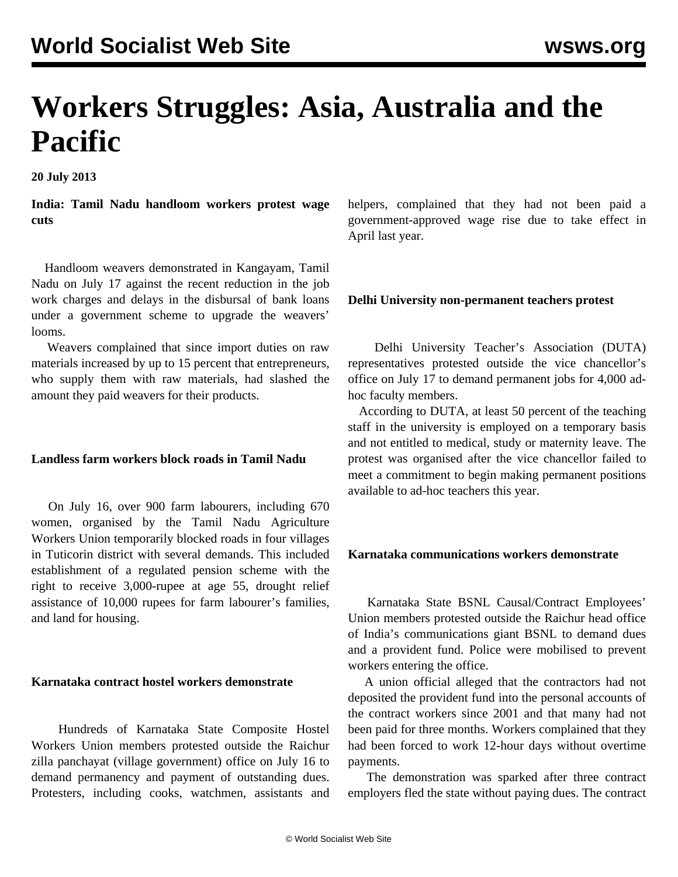# **Workers Struggles: Asia, Australia and the Pacific**

**20 July 2013**

**India: Tamil Nadu handloom workers protest wage cuts**

 Handloom weavers demonstrated in Kangayam, Tamil Nadu on July 17 against the recent reduction in the job work charges and delays in the disbursal of bank loans under a government scheme to upgrade the weavers' looms.

 Weavers complained that since import duties on raw materials increased by up to 15 percent that entrepreneurs, who supply them with raw materials, had slashed the amount they paid weavers for their products.

#### **Landless farm workers block roads in Tamil Nadu**

 On July 16, over 900 farm labourers, including 670 women, organised by the Tamil Nadu Agriculture Workers Union temporarily blocked roads in four villages in Tuticorin district with several demands. This included establishment of a regulated pension scheme with the right to receive 3,000-rupee at age 55, drought relief assistance of 10,000 rupees for farm labourer's families, and land for housing.

#### **Karnataka contract hostel workers demonstrate**

 Hundreds of Karnataka State Composite Hostel Workers Union members protested outside the Raichur zilla panchayat (village government) office on July 16 to demand permanency and payment of outstanding dues. Protesters, including cooks, watchmen, assistants and helpers, complained that they had not been paid a government-approved wage rise due to take effect in April last year.

#### **Delhi University non-permanent teachers protest**

 Delhi University Teacher's Association (DUTA) representatives protested outside the vice chancellor's office on July 17 to demand permanent jobs for 4,000 adhoc faculty members.

 According to DUTA, at least 50 percent of the teaching staff in the university is employed on a temporary basis and not entitled to medical, study or maternity leave. The protest was organised after the vice chancellor failed to meet a commitment to begin making permanent positions available to ad-hoc teachers this year.

#### **Karnataka communications workers demonstrate**

 Karnataka State BSNL Causal/Contract Employees' Union members protested outside the Raichur head office of India's communications giant BSNL to demand dues and a provident fund. Police were mobilised to prevent workers entering the office.

 A union official alleged that the contractors had not deposited the provident fund into the personal accounts of the contract workers since 2001 and that many had not been paid for three months. Workers complained that they had been forced to work 12-hour days without overtime payments.

 The demonstration was sparked after three contract employers fled the state without paying dues. The contract